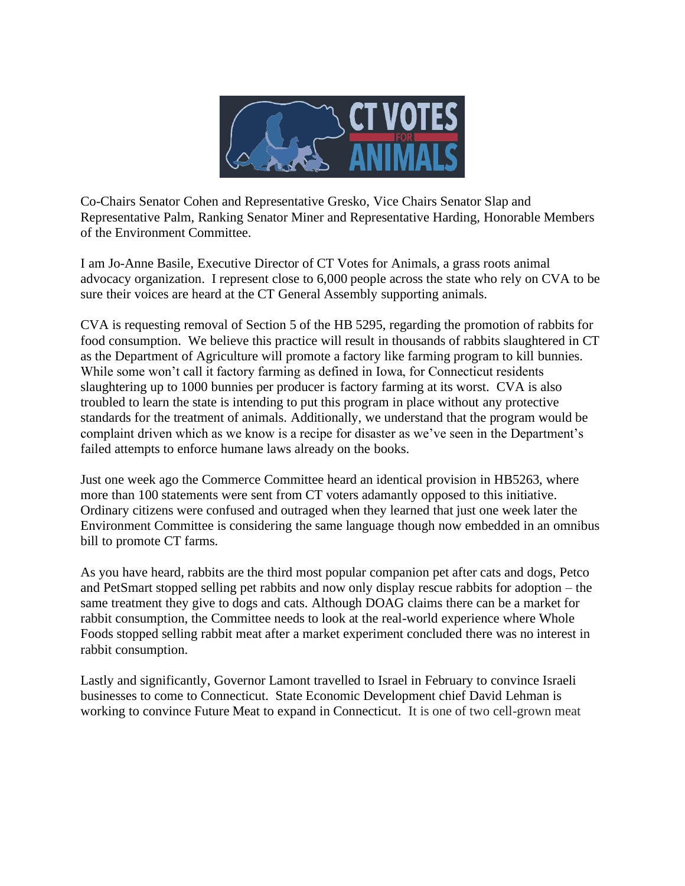

Co-Chairs Senator Cohen and Representative Gresko, Vice Chairs Senator Slap and Representative Palm, Ranking Senator Miner and Representative Harding, Honorable Members of the Environment Committee.

I am Jo-Anne Basile, Executive Director of CT Votes for Animals, a grass roots animal advocacy organization. I represent close to 6,000 people across the state who rely on CVA to be sure their voices are heard at the CT General Assembly supporting animals.

CVA is requesting removal of Section 5 of the HB 5295, regarding the promotion of rabbits for food consumption. We believe this practice will result in thousands of rabbits slaughtered in CT as the Department of Agriculture will promote a factory like farming program to kill bunnies. While some won't call it factory farming as defined in Iowa, for Connecticut residents slaughtering up to 1000 bunnies per producer is factory farming at its worst. CVA is also troubled to learn the state is intending to put this program in place without any protective standards for the treatment of animals. Additionally, we understand that the program would be complaint driven which as we know is a recipe for disaster as we've seen in the Department's failed attempts to enforce humane laws already on the books.

Just one week ago the Commerce Committee heard an identical provision in HB5263, where more than 100 statements were sent from CT voters adamantly opposed to this initiative. Ordinary citizens were confused and outraged when they learned that just one week later the Environment Committee is considering the same language though now embedded in an omnibus bill to promote CT farms.

As you have heard, rabbits are the third most popular companion pet after cats and dogs, Petco and PetSmart stopped selling pet rabbits and now only display rescue rabbits for adoption – the same treatment they give to dogs and cats. Although DOAG claims there can be a market for rabbit consumption, the Committee needs to look at the real-world experience where Whole Foods stopped selling rabbit meat after a market experiment concluded there was no interest in rabbit consumption.

Lastly and significantly, Governor Lamont travelled to Israel in February to convince Israeli businesses to come to Connecticut. State Economic Development chief David Lehman is working to convince Future Meat to expand in Connecticut. It is one of two cell-grown meat